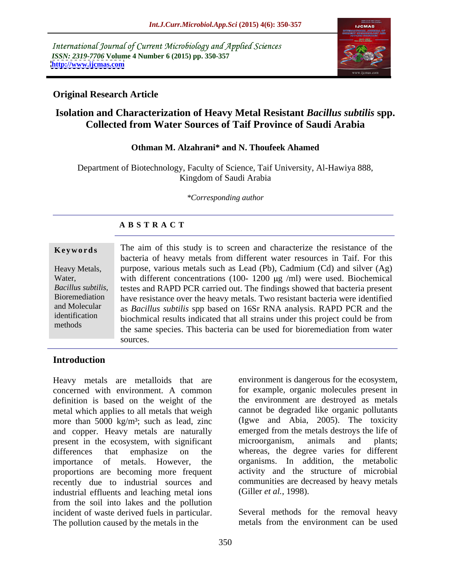International Journal of Current Microbiology and Applied Sciences *ISSN: 2319-7706* **Volume 4 Number 6 (2015) pp. 350-357 <http://www.ijcmas.com>**



### **Original Research Article**

## **Isolation and Characterization of Heavy Metal Resistant** *Bacillus subtilis* **spp. Collected from Water Sources of Taif Province of Saudi Arabia**

### **Othman M. Alzahrani\* and N. Thoufeek Ahamed**

Department of Biotechnology, Faculty of Science, Taif University, Al-Hawiya 888, Kingdom of Saudi Arabia

*\*Corresponding author*

### **A B S T R A C T**

methods

**Keywords** The aim of this study is to screen and characterize the resistance of the bacteria of heavy metals from different water resources in Taif. For this purpose, various metals such as Lead (Pb), Cadmium (Cd) and silver (Ag) Heavy Metals, Water, with different concentrations (100- 1200 µg /ml) were used. Biochemical Bacillus subtilis, testes and RAPD PCR carried out. The findings showed that bacteria present Bioremediation have resistance over the heavy metals. Two resistant bacteria were identified and Molecular as *Bacillus subtilis* spp based on 16Sr RNA analysis. RAPD PCR and the identification biochmical results indicated that all strains under this project could be from the same species. This bacteria can be used for bioremediation from water sources.

### **Introduction**

concerned with environment. A common definition is based on the weight of the metal which applies to all metals that weigh more than 5000 kg/m<sup>3</sup>; such as lead, zinc and copper. Heavy metals are naturally present in the ecosystem, with significant microorganism, animals and plants; differences that emphasize on the whereas, the degree varies for different importance of metals. However, the organisms. In addition, the metabolic proportions are becoming more frequent recently due to industrial sources and industrial effluents and leaching metal ions from the soil into lakes and the pollution incident of waste derived fuels in particular. Several methods for the removal heavy The pollution caused by the metals in the metals from the environment can be used

Heavy metals are metalloids that are environment is dangerous for the ecosystem, for example, organic molecules present in the environment are destroyed as metals cannot be degraded like organic pollutants (Igwe and Abia, 2005). The toxicity emerged from the metals destroys the life of microorganism, animals and plants; activity and the structure of microbial communities are decreased by heavy metals (Giller *et al.,* 1998).

metals from the environment can be used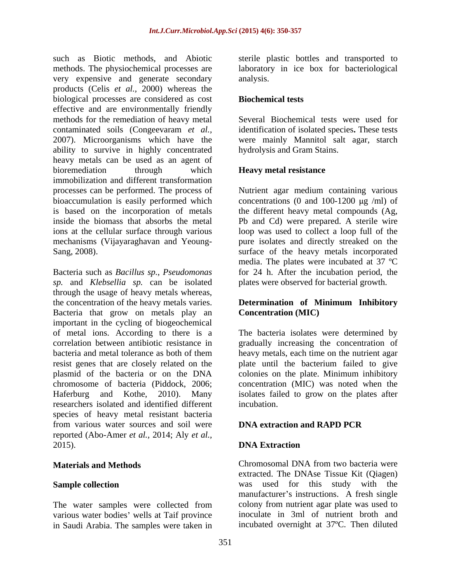such as Biotic methods, and Abiotic sterile plastic bottles and transported to methods. The physiochemical processes are laboratory in ice box for bacteriological very expensive and generate secondary analysis. products (Celis *et al.,* 2000) whereas the biological processes are considered as cost effective and are environmentally friendly methods for the remediation of heavy metal contaminated soils (Congeevaram *et al.,* identification of isolated species**.** These tests 2007). Microorganisms which have the were mainly Mannitol salt agar, starch ability to survive in highly concentrated heavy metals can be used as an agent of bioremediation through which **Heavy metal resistance** immobilization and different transformation processes can be performed. The process of bioaccumulation is easily performed which concentrations  $(0 \text{ and } 100-1200 \text{ µg } / \text{ml})$  of is based on the incorporation of metals the different heavy metal compounds (Ag, inside the biomass that absorbs the metal Pb and Cd) were prepared. A sterile wire ions at the cellular surface through various loop was used to collect a loop full of the mechanisms (Vijayaraghavan and Yeoung-

Bacteria such as *Bacillus sp.*, *Pseudomonas*  for24 h. After the incubation period, the *sp.* and *Klebsellia sp.* can be isolated plates were observed for bacterial growth. through the usage of heavy metals whereas, the concentration of the heavy metals varies. **Determination of Minimum Inhibitory** Bacteria that grow on metals play an important in the cycling of biogeochemical chromosome of bacteria (Piddock, 2006; researchers isolated and identified different species of heavy metal resistant bacteria from various water sources and soil were **DNA extraction and RAPD PCR** reported (Abo-Amer *et al.,* 2014; Aly *et al.,* 2015). **DNA Extraction** 

The water samples were collected from various water bodies' wells at Taif province in Saudi Arabia. The samples were taken in

analysis.

### **Biochemical tests**

Several Biochemical tests were used for hydrolysis and Gram Stains.

### **Heavy metal resistance**

Sang, 2008). surface of the heavy metals incorporated Nutrient agar medium containing various pure isolates and directly streaked on the media. The plates were incubated at 37 ºC

# **Concentration (MIC)**

of metal ions. According to there is a The bacteria isolates were determined by correlation between antibiotic resistance in gradually increasing the concentration of bacteria and metal tolerance as both of them heavy metals, each time on the nutrient agar resist genes that are closely related on the plate until the bacterium failed to give plasmid of the bacteria or on the DNA colonies on the plate. Minimum inhibitory Haferburg and Kothe, 2010). Many isolates failed to grow on the plates after concentration (MIC) was noted when the incubation.

### **DNA extraction and RAPD PCR**

### **DNA Extraction**

**Materials and Methods** Chromosomal DNA from two bacteria were **Sample collection** was used for this study with the Chromosomal DNA from two bacteria were extracted. The DNAse Tissue Kit (Qiagen) manufacturer's instructions. A fresh single colony from nutrient agar plate was used to inoculate in 3ml of nutrient broth and incubated overnight at 37ºC. Then diluted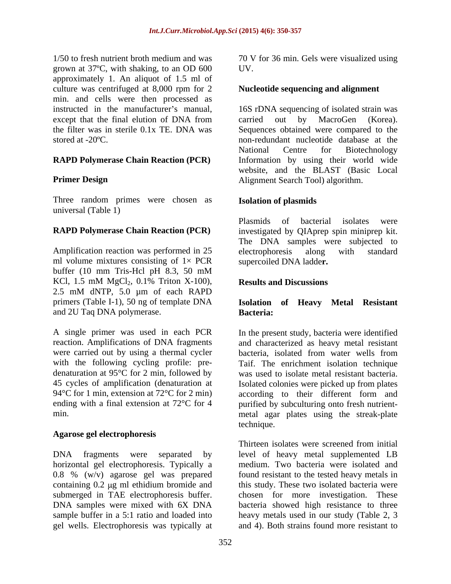1/50 to fresh nutrient broth medium and was 70 V for 36 min. Gels were visualized using grown at 37ºC, with shaking, to an OD 600 approximately 1. An aliquot of 1.5 ml of culture was centrifuged at 8,000 rpm for 2 min. and cells were then processed as

### **RAPD Polymerase Chain Reaction (PCR)**

Three random primes were chosen as universal (Table 1)

Amplification reaction was performed in 25 electrophoresis along with standard ml volume mixtures consisting of  $1 \times PCR$ buffer (10 mm Tris-Hcl pH 8.3, 50 mM KCl,  $1.5 \text{ mM } MgCl<sub>2</sub>$ ,  $0.1\%$  Triton X-100), **Results and Discussions** 2.5 mM dNTP, 5.0 µm of each RAPD primers (Table I-1), 50 ng of template DNA **Isolation of Heavy Metal Resistant** and 2U Taq DNA polymerase. **Bacteria:** 

A single primer was used in each PCR with the following cycling profile: pre denaturation at 95°C for 2 min, followed by

### **Agarose gel electrophoresis**

DNA fragments were separated by level of heavy metal supplemented LB horizontal gel electrophoresis. Typically a 0.8 % (w/v) agarose gel was prepared containing 0.2 µg ml ethidium bromide and this study. These two isolated bacteria were submerged in TAE electrophoresis buffer. chosen for more investigation. These DNA samples were mixed with 6X DNA bacteria showed high resistance to three sample buffer in a 5:1 ratio and loaded into heavy metals used in our study (Table 2, 3 gel wells. Electrophoresis was typically at

UV.

### **Nucleotide sequencing and alignment**

instructed in the manufacturer's manual, 16S rDNA sequencing of isolated strain was except that the final elution of DNA from carried out by MacroGen (Korea). the filter was in sterile 0.1x TE. DNA was Sequences obtained were compared to the stored at -20ºC. non-redundant nucleotide database at the **Primer Design Alignment Search Tool) algorithm.** carried out by MacroGen (Korea). National Centre for Biotechnology Information by using their world wide website, and the BLAST (Basic Local

### **Isolation of plasmids**

**RAPD Polymerase Chain Reaction (PCR)** investigated by QIAprep spin miniprep kit. Plasmids of bacterial isolates were The DNA samples were subjected to electrophoresis along with standard supercoiled DNA ladde**r.**

### **Results and Discussions**

# **Bacteria:**

reaction. Amplifications of DNA fragments and characterized as heavy metal resistant were carried out by using a thermal cycler bacteria, isolated from water wells from 45 cycles of amplification (denaturation at Isolated colonies were picked up from plates 94°C for 1 min, extension at 72°C for 2 min) according to their different form and ending with a final extension at 72°C for 4 purified by subculturing onto fresh nutrientmin. metal agar plates using the streak-plate In the present study, bacteria were identified Taif. The enrichment isolation technique was used to isolate metal resistant bacteria. technique.

> Thirteen isolates were screened from initial medium. Two bacteria were isolated and found resistant to the tested heavy metals in and 4). Both strains found more resistant to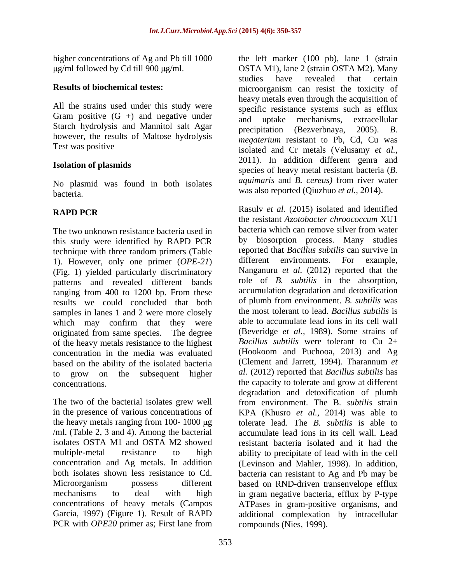All the strains used under this study were Gram positive  $(G +)$  and negative under  $\frac{1}{2}$  and uptake mechanisms, extracellular Starch hydrolysis and Mannitol salt Agar being the mechanisms, extractmental starch hydrolysis and Mannitol salt Agar precipitation (Bezverbnaya, 2005). B. however, the results of Maltose hydrolysis

No plasmid was found in both isolates bacteria. was also reported (Qiuzhuo *et al.,* 2014).

The two unknown resistance bacteria used in this study were identified by RAPD PCR technique with three random primers (Table reported that *Bacillus subtilis* can survive in<br>1) However only one primer (*OPF-21*) different environments. For example, 1). However, only one primer (*OPE-21*) (Fig. 1) yielded particularly discriminatory patterns and revealed different bands ranging from 400 to 1200 bp. From these results we could concluded that both samples in lanes 1 and 2 were more closely which may confirm that they were originated from same species. The degree of the heavy metals resistance to the highest concentration in the media was evaluated (Hookoom and Puchooa, 2013) and Ag based on the ability of the isolated bacteria (Clement and Jarrett, 1994). Tharannum *et* based on the ability of the isolated bacteria

the heavy metals ranging from 100- 1000  $\mu$ g /ml. (Table 2, 3 and 4). Among the bacterial

higher concentrations of Ag and Pb till 1000 the left marker (100 pb), lane 1 (strain g/ml followed by Cd till 900 µg/ml. OSTA M1), lane 2 (strain OSTA M2). Many **Results of biochemical testes:** microorganism can resist the toxicity of Test was positive isolated and Cr metals (Velusamy *et al.,* **Isolation of plasmids** species of heavy metal resistant bacteria (*B.*  studies have revealed that certain heavy metals even through the acquisition of specific resistance systems such as efflux and uptake mechanisms, extracellular precipitation (Bezverbnaya, 2005). *B. megaterium* resistant to Pb, Cd, Cu was 2011). In addition different genra and *aquimaris* and *B. cereus)* from river water

**RAPD PCR** Rasulv *et al.* (2015) isolated and identified to grow on the subsequent higher al. (2012) reported that *Bacillus subtilis* has concentrations. the capacity to tolerate and grow at different The two of the bacterial isolates grew well from environment. The B. *subtilis* strain in the presence of various concentrations of KPA (Khusro *et al.,* 2014) was able to isolates OSTA M1 and OSTA M2 showed resistant bacteria isolated and it had the multiple-metal resistance to high ability to precipitate of lead with in the cell concentration and Ag metals. In addition (Levinson and Mahler, 1998). In addition, both isolates shown less resistance to Cd. bacteria can resistant to Ag and Pb may be Microorganism possess different based on RND-driven transenvelope efflux mechanisms to deal with high in gram negative bacteria, efflux by P-type concentrations of heavy metals (Campos ATPases in gram-positive organisms, and Garcia, 1997) (Figure 1). Result of RAPD additional complexation by intracellular PCR with *OPE20* primer as; First lane from compounds (Nies, 1999). Rasulv *et al.* (2015) isolated and identified the resistant *Azotobacter chroococcum* XU1 bacteria which can remove silver from water by biosorption process. Many studies reported that *Bacillus subtilis* can survive in different environments. Nanganuru *et al.* (2012) reported that the role of *B. subtilis* in the absorption, accumulation degradation and detoxification of plumb from environment. *B. subtilis* was the most tolerant to lead. *Bacillus subtilis* is able to accumulate lead ions in its cell wall (Beveridge *et al.,* 1989). Some strains of *Bacillus subtilis* were tolerant to Cu 2+ (Hookoom and Puchooa, 2013) and Ag (Clement and Jarrett, 1994). Tharannum *et al.* (2012) reported that *Bacillus subtilis* has degradation and detoxification of plumb tolerate lead. The *B. subtilis* is able to accumulate lead ions in its cell wall. Lead compounds (Nies, 1999).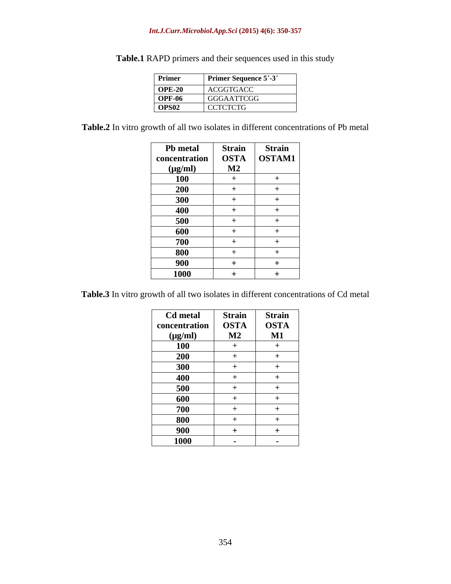### *Int.J.Curr.Microbiol.App.Sci* **(2015) 4(6): 350-357**

| Primer            | <b>Primer Sequence 5'-3'</b> |
|-------------------|------------------------------|
| <b>OPE-20</b>     | ACGGTGACC                    |
| <b>OPF-06</b>     | GGGAATTCGG                   |
| OPS <sub>02</sub> | <b>CCTCTCTG</b>              |

**Table.1** RAPD primers and their sequences used in this study

**Table.2** In vitro growth of all two isolates in different concentrations of Pb metal

| <b>Pb</b> metal | <b>Strain</b> | <b>Strain</b> |
|-----------------|---------------|---------------|
| concentration   | <b>OSTA</b>   | OSTAM1        |
| $(\mu g/ml)$    | $\mathbf{M2}$ |               |
| <b>100</b>      |               |               |
| <b>200</b>      |               |               |
| 300             |               |               |
| 400             |               |               |
| 500             |               |               |
| 600             |               |               |
| 700             |               |               |
| 800             |               |               |
| 900             | $+$           |               |
| 1000            | ∸             |               |

**Table.3** In vitro growth of all two isolates in different concentrations of Cd metal

| Cd metal      | <b>Strain</b> | <b>Strain</b>   |
|---------------|---------------|-----------------|
| concentration | <b>OSTA</b>   | <b>OSTA</b>     |
| $(\mu g/ml)$  | $\mathbf{M2}$ | $\mathbf{M1}$   |
| <b>100</b>    |               | <u>. на нар</u> |
| 200           |               |                 |
| 300           |               |                 |
| 400           | $^{+}$        |                 |
| 500           | $^{+}$        |                 |
| 600           |               |                 |
| 700           |               |                 |
| 800           |               |                 |
| 900           |               |                 |
| 1000          | $\sim$        | $\sim$          |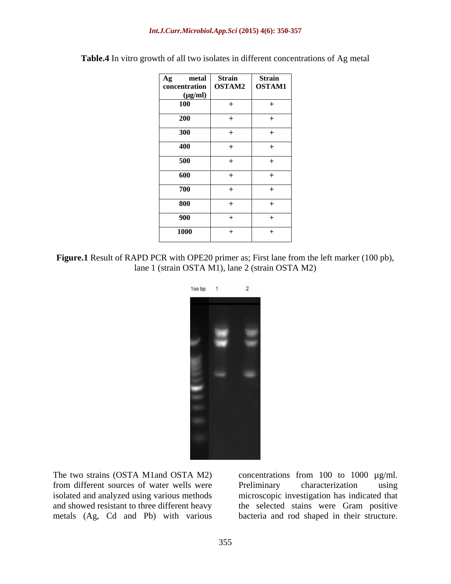| Ag metal               | <b>Strain</b> | <b>Strain</b> |
|------------------------|---------------|---------------|
| concentration   OSTAM2 |               | <b>OSTAM1</b> |
| $(\mu g/ml)$           |               |               |
| 100                    | $+$           |               |
|                        |               |               |
| 200                    |               |               |
|                        |               |               |
| 300                    |               |               |
|                        |               |               |
| 400                    |               |               |
| 500                    |               |               |
|                        |               |               |
| 600                    |               |               |
|                        |               |               |
| 700                    |               |               |
|                        |               |               |
| 800                    |               |               |
|                        |               |               |
| 900                    |               |               |
|                        |               |               |
| <b>1000</b>            |               |               |
|                        |               |               |

**Table.4** In vitro growth of all two isolates in different concentrations of Ag metal

**Figure.1** Result of RAPD PCR with OPE20 primer as; First lane from the left marker (100 pb), lane 1 (strain OSTA M1), lane 2 (strain OSTA M2)



from different sources of water wells were Preliminary characterization using

The two strains (OSTA M1and OSTA M2) concentrations from 100 to 1000 µg/ml. isolated and analyzed using various methods microscopic investigation has indicated that and showed resistant to three different heavy the selected stains were Gram positive metals (Ag, Cd and Pb) with various bacteria and rod shaped in their structure.Preliminary characterization using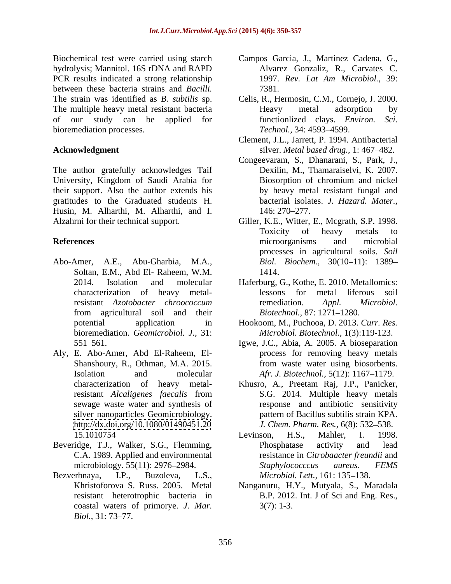hydrolysis; Mannitol. 16S rDNA and RAPD PCR results indicated a strong relationship 1997. Rev. Lat Am Microbiol., 39: between these bacteria strains and *Bacilli.* The strain was identified as *B. subtilis* sp. Celis, R., Hermosin, C.M., Cornejo, J. 2000. The multiple heavy metal resistant bacteria and Heavy metal adsorption by of our study can be applied for functionlized clays. *Environ. Sci.* bioremediation processes. Technol., 34: 4593–4599.

The author gratefully acknowledges Taif University*,* Kingdom of Saudi Arabia for their support. Also the author extends his gratitudes to the Graduated students H. Husin, M. Alharthi, M. Alharthi, and I.

- Abo-Amer, A.E., Abu-Gharbia, M.A., Soltan, E.M., Abd El- Raheem, W.M. from agricultural soil and their bioremediation. *Geomicrobiol. J.,* 31:
- Aly, E. Abo-Amer, Abd El-Raheem, El <http://dx.doi.org/10.1080/01490451.20>
- Beveridge, T.J., Walker, S.G., Flemming,
- coastal waters of primorye. *J. Mar. Biol.,* 31: 73–77.
- Biochemical test were carried using starch Campos Garcia, J., Martinez Cadena, G., Alvarez Gonzaliz, R., Carvates C. 1997. *Rev. Lat Am Microbiol.,* 39: 7381.
	- Heavy metal adsorption by *Technol.,* 34: 4593–4599.
- **Acknowledgment** silver. *Metal based drug.*, 1: 467–482. Clement, J.L., Jarrett, P. 1994. Antibacterial
	- Congeevaram, S., Dhanarani, S., Park, J., Dexilin, M., Thamaraiselvi, K. 2007. Biosorption of chromium and nickel by heavy metal resistant fungal and bacterial isolates. *J. Hazard. Mater.,* 146: 270–277.
- Alzahrni for their technical support. Giller, K.E., Witter, E., Mcgrath, S.P. 1998. **References** and microorganisms and microbial Toxicity of heavy metals to microorganisms and microbial processes in agricultural soils. *Soil Biol. Biochem., 30(10-11): 1389-*1414.
	- 2014. Isolation and molecular Haferburg, G., Kothe, E. 2010. Metallomics: characterization of heavy metalresistant *Azotobacter chroococcum* lessons for metal liferous remediation. *Appl. Microbiol. Biotechnol., 87: 1271-1280.*
	- potential application in Hookoom, M., Puchooa, D. 2013. *Curr. Res. Microbiol. Biotechnol.,* 1(3):119-123.
	- 551 561. Igwe, J.C., Abia, A. 2005. A bioseparation Shanshoury, R., Othman, M.A. 2015. **From waste water using biosorbents**. Isolation and molecular *Afr. J. Biotechnol.*, 5(12): 1167–1179. process for removing heavy metals
	- characterization of heavy metal-Khusro, A., Preetam Raj, J.P., Panicker, resistant *Alcaligenes faecalis* from sewage waste water and synthesis of response and antibiotic sensitivity silver nanoparticles Geomicrobiology. pattern of Bacillus subtilis strain KPA. S.G. 2014. Multiple heavy metals *J. Chem. Pharm. Res.,* 6(8): 532–538.
- 15.1010754 Levinson, H.S., Mahler, I. 1998. C.A. 1989. Applied and environmental resistance in *Citrobaacter freundii* and microbiology. 55(11): 2976–2984. Staphylococccus aureus. FEMS Bezverbnaya, I.P., Buzoleva, L.S., *Microbial. Lett.*, 161: 135–138. Levinson, H.S., Mahler, I. 1998. Phosphatase activity and lead *Staphylococccus aureus*. *FEMS* 
	- Khristoforova S. Russ. 2005. Metal Nanganuru, H.Y., Mutyala, S., Maradala resistant heterotrophic bacteria in B.P. 2012. Int. J of Sci and Eng. Res., 3(7): 1-3.